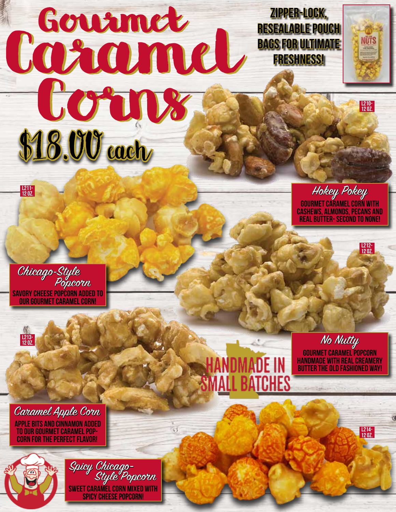## Courmet Ne Corns Land Corns \$18.00 each Zipper-Lock, resealable pouch bags for Ultimate Freshness! Gourmet

Hokey Pokey<br>Gourmet caramel corn with cashews, almonds, pecans and real butter- second to none!

 $1210 - 120Z$ 

NUTS

L212- 12 oz.

L214- 12 oz.

Chicago-Style Savory cheese popcorn added to our gourmet caramel corn! Popcorn



L211- 12 oz.

Caramel Apple Corn<br>apple bits and cinnamon added to our gourmet caramel popcorn for the perfect flavor!



Spicy Chicago-Sweet caramel corn mixed with spicy cheese popcorn! Style Popcorn